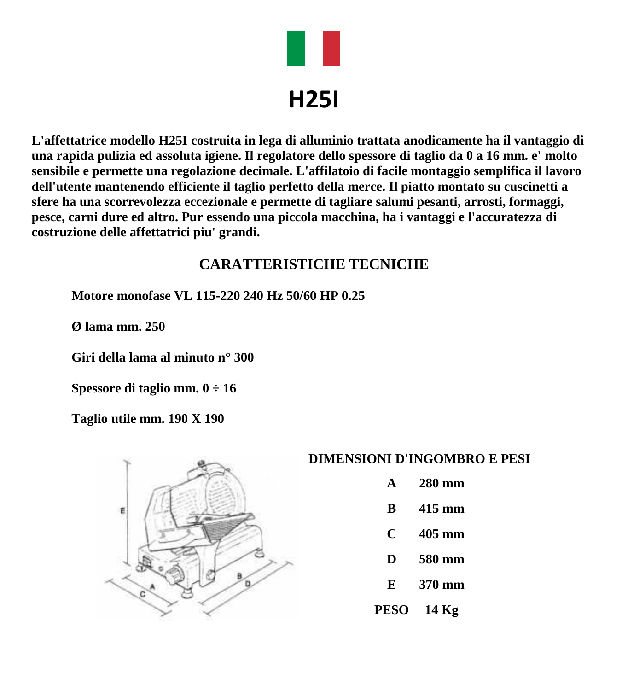

# **H25I**

**L'affettatrice modello H25I costruita in lega di alluminio trattata anodicamente ha il vantaggio di una rapida pulizia ed assoluta igiene. Il regolatore dello spessore di taglio da 0 a 16 mm. e' molto sensibile e permette una regolazione decimale. L'affilatoio di facile montaggio semplifica il lavoro dell'utente mantenendo efficiente il taglio perfetto della merce. Il piatto montato su cuscinetti a sfere ha una scorrevolezza eccezionale e permette di tagliare salumi pesanti, arrosti, formaggi, pesce, carni dure ed altro. Pur essendo una piccola macchina, ha i vantaggi e l'accuratezza di costruzione delle affettatrici piu' grandi.**

### **CARATTERISTICHE TECNICHE**

**Motore monofase VL 115-220 240 Hz 50/60 HP 0.25**

**Ø lama mm. 250**

**Giri della lama al minuto n° 300**

**Spessore di taglio mm. 0 ÷ 16**

**Taglio utile mm. 190 X 190**



#### **DIMENSIONI D'INGOMBRO E PESI**

- **A 280 mm**
- **B 415 mm**
- **C 405 mm**
- **D 580 mm**
- **E 370 mm**
- **PESO 14 Kg**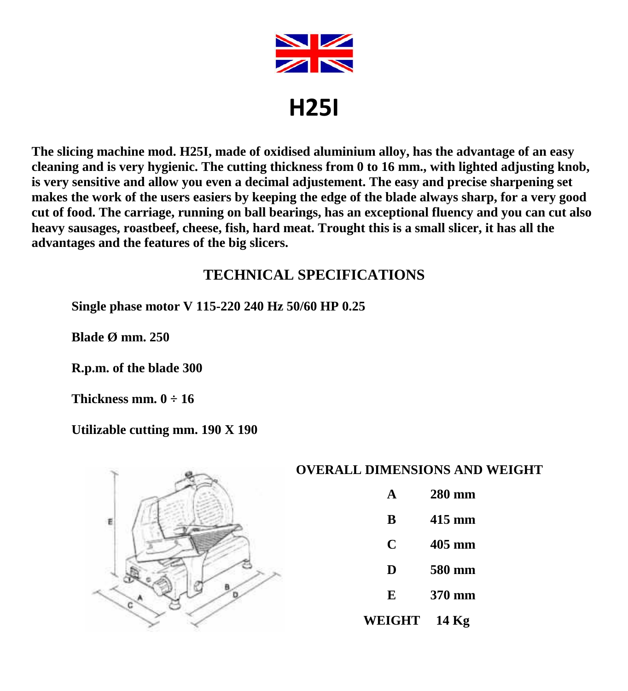

**The slicing machine mod. H25I, made of oxidised aluminium alloy, has the advantage of an easy cleaning and is very hygienic. The cutting thickness from 0 to 16 mm., with lighted adjusting knob, is very sensitive and allow you even a decimal adjustement. The easy and precise sharpening set makes the work of the users easiers by keeping the edge of the blade always sharp, for a very good cut of food. The carriage, running on ball bearings, has an exceptional fluency and you can cut also heavy sausages, roastbeef, cheese, fish, hard meat. Trought this is a small slicer, it has all the advantages and the features of the big slicers.**

## **TECHNICAL SPECIFICATIONS**

**Single phase motor V 115-220 240 Hz 50/60 HP 0.25**

**Blade Ø mm. 250**

**R.p.m. of the blade 300**

**Thickness mm. 0 ÷ 16**

**Utilizable cutting mm. 190 X 190**



#### **OVERALL DIMENSIONS AND WEIGHT**

- **A 280 mm**
- **B 415 mm**
- **C 405 mm**
- 
- **D 580 mm**
- **E 370 mm**
- **WEIGHT 14 Kg**